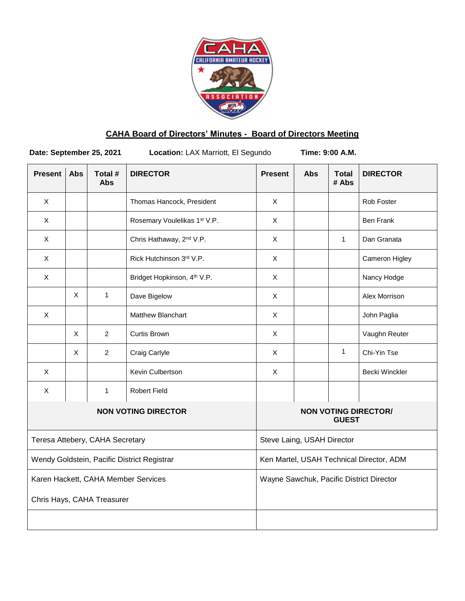

# **CAHA Board of Directors' Minutes - Board of Directors Meeting**

Date: September 25, 2021 Location: LAX Marriott, El Segundo Time: 9:00 A.M.

| <b>Present</b> | <b>Abs</b>                 | Total #<br><b>Abs</b>           | <b>DIRECTOR</b>                             | <b>Present</b>                           | <b>Abs</b> | <b>Total</b><br># Abs | <b>DIRECTOR</b>                          |
|----------------|----------------------------|---------------------------------|---------------------------------------------|------------------------------------------|------------|-----------------------|------------------------------------------|
| $\times$       |                            |                                 | Thomas Hancock, President                   | X                                        |            |                       | Rob Foster                               |
| X              |                            |                                 | Rosemary Voulelikas 1st V.P.                | X                                        |            |                       | Ben Frank                                |
| X              |                            |                                 | Chris Hathaway, 2 <sup>nd</sup> V.P.        | X                                        |            | $\mathbf{1}$          | Dan Granata                              |
| X              |                            |                                 | Rick Hutchinson 3rd V.P.                    | X                                        |            |                       | Cameron Higley                           |
| $\mathsf{X}$   |                            |                                 | Bridget Hopkinson, 4 <sup>th</sup> V.P.     | X                                        |            |                       | Nancy Hodge                              |
|                | $\mathsf{X}$               | $\mathbf{1}$                    | Dave Bigelow                                | X                                        |            |                       | Alex Morrison                            |
| X              |                            |                                 | <b>Matthew Blanchart</b>                    | X                                        |            |                       | John Paglia                              |
|                | $\mathsf{X}$               | $\overline{2}$                  | <b>Curtis Brown</b>                         | X                                        |            |                       | Vaughn Reuter                            |
|                | X                          | $\overline{2}$                  | Craig Carlyle                               | X                                        |            | $\mathbf{1}$          | Chi-Yin Tse                              |
| X              |                            |                                 | Kevin Culbertson                            | $\mathsf X$                              |            |                       | <b>Becki Winckler</b>                    |
| X              |                            | $\mathbf{1}$                    | <b>Robert Field</b>                         |                                          |            |                       |                                          |
|                | <b>NON VOTING DIRECTOR</b> |                                 |                                             |                                          |            | <b>GUEST</b>          | <b>NON VOTING DIRECTOR/</b>              |
|                |                            | Teresa Attebery, CAHA Secretary |                                             | Steve Laing, USAH Director               |            |                       |                                          |
|                |                            |                                 | Wendy Goldstein, Pacific District Registrar | Ken Martel, USAH Technical Director, ADM |            |                       |                                          |
|                |                            |                                 | Karen Hackett, CAHA Member Services         |                                          |            |                       | Wayne Sawchuk, Pacific District Director |
|                |                            | Chris Hays, CAHA Treasurer      |                                             |                                          |            |                       |                                          |
|                |                            |                                 |                                             |                                          |            |                       |                                          |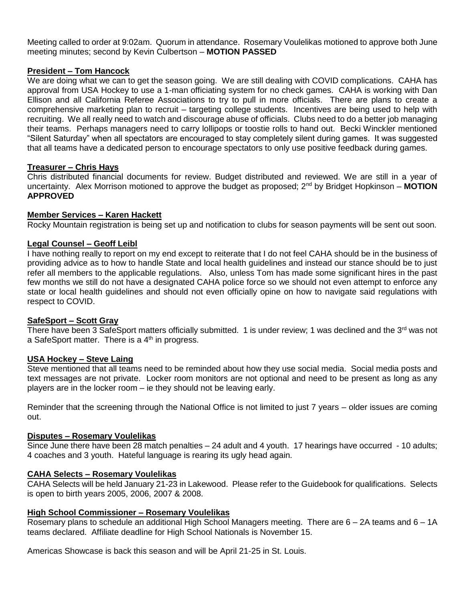Meeting called to order at 9:02am. Quorum in attendance. Rosemary Voulelikas motioned to approve both June meeting minutes; second by Kevin Culbertson – **MOTION PASSED**

# **President – Tom Hancock**

We are doing what we can to get the season going. We are still dealing with COVID complications. CAHA has approval from USA Hockey to use a 1-man officiating system for no check games. CAHA is working with Dan Ellison and all California Referee Associations to try to pull in more officials. There are plans to create a comprehensive marketing plan to recruit – targeting college students. Incentives are being used to help with recruiting. We all really need to watch and discourage abuse of officials. Clubs need to do a better job managing their teams. Perhaps managers need to carry lollipops or toostie rolls to hand out. Becki Winckler mentioned "Silent Saturday" when all spectators are encouraged to stay completely silent during games. It was suggested that all teams have a dedicated person to encourage spectators to only use positive feedback during games.

#### **Treasurer – Chris Hays**

Chris distributed financial documents for review. Budget distributed and reviewed. We are still in a year of uncertainty. Alex Morrison motioned to approve the budget as proposed; 2<sup>nd</sup> by Bridget Hopkinson – **MOTION APPROVED**

# **Member Services – Karen Hackett**

Rocky Mountain registration is being set up and notification to clubs for season payments will be sent out soon.

## **Legal Counsel – Geoff Leibl**

I have nothing really to report on my end except to reiterate that I do not feel CAHA should be in the business of providing advice as to how to handle State and local health guidelines and instead our stance should be to just refer all members to the applicable regulations. Also, unless Tom has made some significant hires in the past few months we still do not have a designated CAHA police force so we should not even attempt to enforce any state or local health guidelines and should not even officially opine on how to navigate said regulations with respect to COVID.

#### **SafeSport – Scott Gray**

There have been 3 SafeSport matters officially submitted. 1 is under review; 1 was declined and the 3<sup>rd</sup> was not a SafeSport matter. There is a  $4<sup>th</sup>$  in progress.

## **USA Hockey – Steve Laing**

Steve mentioned that all teams need to be reminded about how they use social media. Social media posts and text messages are not private. Locker room monitors are not optional and need to be present as long as any players are in the locker room – ie they should not be leaving early.

Reminder that the screening through the National Office is not limited to just 7 years – older issues are coming out.

#### **Disputes – Rosemary Voulelikas**

Since June there have been 28 match penalties – 24 adult and 4 youth. 17 hearings have occurred - 10 adults; 4 coaches and 3 youth. Hateful language is rearing its ugly head again.

#### **CAHA Selects – Rosemary Voulelikas**

CAHA Selects will be held January 21-23 in Lakewood. Please refer to the Guidebook for qualifications. Selects is open to birth years 2005, 2006, 2007 & 2008.

# **High School Commissioner – Rosemary Voulelikas**

Rosemary plans to schedule an additional High School Managers meeting. There are 6 – 2A teams and 6 – 1A teams declared. Affiliate deadline for High School Nationals is November 15.

Americas Showcase is back this season and will be April 21-25 in St. Louis.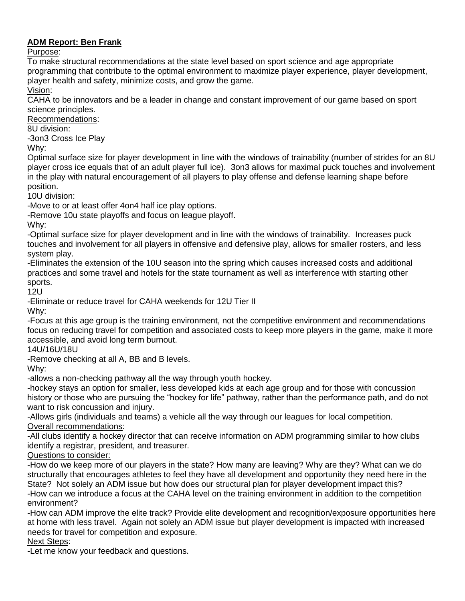# **ADM Report: Ben Frank**

# Purpose:

To make structural recommendations at the state level based on sport science and age appropriate programming that contribute to the optimal environment to maximize player experience, player development, player health and safety, minimize costs, and grow the game.

Vision:

CAHA to be innovators and be a leader in change and constant improvement of our game based on sport science principles.

Recommendations:

8U division:

-3on3 Cross Ice Play

Why:

Optimal surface size for player development in line with the windows of trainability (number of strides for an 8U player cross ice equals that of an adult player full ice). 3on3 allows for maximal puck touches and involvement in the play with natural encouragement of all players to play offense and defense learning shape before position.

10U division:

-Move to or at least offer 4on4 half ice play options.

-Remove 10u state playoffs and focus on league playoff.

Why:

-Optimal surface size for player development and in line with the windows of trainability. Increases puck touches and involvement for all players in offensive and defensive play, allows for smaller rosters, and less system play.

-Eliminates the extension of the 10U season into the spring which causes increased costs and additional practices and some travel and hotels for the state tournament as well as interference with starting other sports.

12U

-Eliminate or reduce travel for CAHA weekends for 12U Tier II

Why:

-Focus at this age group is the training environment, not the competitive environment and recommendations focus on reducing travel for competition and associated costs to keep more players in the game, make it more accessible, and avoid long term burnout.

14U/16U/18U

-Remove checking at all A, BB and B levels.

Why:

-allows a non-checking pathway all the way through youth hockey.

-hockey stays an option for smaller, less developed kids at each age group and for those with concussion history or those who are pursuing the "hockey for life" pathway, rather than the performance path, and do not want to risk concussion and injury.

-Allows girls (individuals and teams) a vehicle all the way through our leagues for local competition. Overall recommendations:

-All clubs identify a hockey director that can receive information on ADM programming similar to how clubs identify a registrar, president, and treasurer.

Questions to consider:

-How do we keep more of our players in the state? How many are leaving? Why are they? What can we do structurally that encourages athletes to feel they have all development and opportunity they need here in the State? Not solely an ADM issue but how does our structural plan for player development impact this? -How can we introduce a focus at the CAHA level on the training environment in addition to the competition environment?

-How can ADM improve the elite track? Provide elite development and recognition/exposure opportunities here at home with less travel. Again not solely an ADM issue but player development is impacted with increased needs for travel for competition and exposure.

Next Steps:

-Let me know your feedback and questions.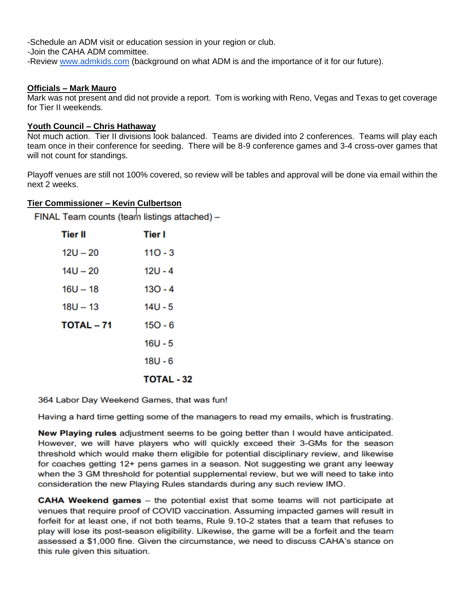-Schedule an ADM visit or education session in your region or club.

-Join the CAHA ADM committee.

-Review [www.admkids.com](http://www.admkids.com/) (background on what ADM is and the importance of it for our future).

#### **Officials – Mark Mauro**

Mark was not present and did not provide a report. Tom is working with Reno, Vegas and Texas to get coverage for Tier II weekends.

#### **Youth Council – Chris Hathaway**

Not much action. Tier II divisions look balanced. Teams are divided into 2 conferences. Teams will play each team once in their conference for seeding. There will be 8-9 conference games and 3-4 cross-over games that will not count for standings.

Playoff venues are still not 100% covered, so review will be tables and approval will be done via email within the next 2 weeks.

## **Tier Commissioner – Kevin Culbertson**

FINAL Team counts (team listings attached) -

| <b>Tier II</b>    | Tier I            |
|-------------------|-------------------|
| $12U - 20$        | $110 - 3$         |
| $14U - 20$        | $12U - 4$         |
| $16U - 18$        | $130 - 4$         |
| $18U - 13$        | $14U - 5$         |
| <b>TOTAL - 71</b> | $150 - 6$         |
|                   | $16U - 5$         |
|                   | $18U - 6$         |
|                   | <b>TOTAL - 32</b> |

364 Labor Day Weekend Games, that was fun!

Having a hard time getting some of the managers to read my emails, which is frustrating.

New Playing rules adjustment seems to be going better than I would have anticipated. However, we will have players who will quickly exceed their 3-GMs for the season threshold which would make them eligible for potential disciplinary review, and likewise for coaches getting 12+ pens games in a season. Not suggesting we grant any leeway when the 3 GM threshold for potential supplemental review, but we will need to take into consideration the new Playing Rules standards during any such review IMO.

**CAHA Weekend games** – the potential exist that some teams will not participate at venues that require proof of COVID vaccination. Assuming impacted games will result in forfeit for at least one, if not both teams, Rule 9.10-2 states that a team that refuses to play will lose its post-season eligibility. Likewise, the game will be a forfeit and the team assessed a \$1,000 fine. Given the circumstance, we need to discuss CAHA's stance on this rule given this situation.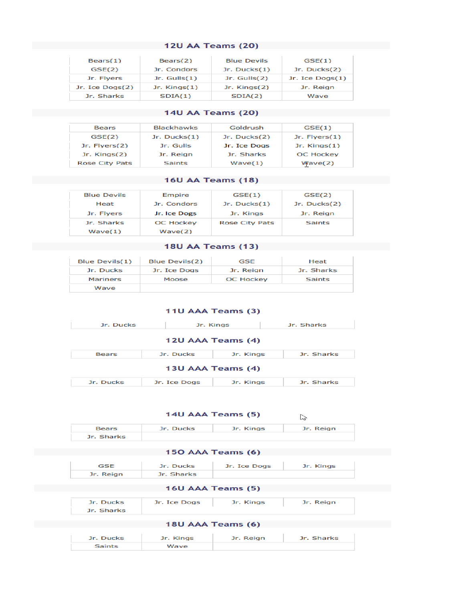#### **Example 20 In 120 AA Teams (20)**

| $\textsf{Bears}(1)$ | Bears(2)       | <b>Blue Devils</b> | GSE(1)            |
|---------------------|----------------|--------------------|-------------------|
| GSE(2)              | Jr. Condors    | $Jr.$ Ducks $(1)$  | Jr. Ducks $(2)$   |
| Jr. Flyers          | Jr. $Gulls(1)$ | Jr. $Gulls(2)$     | Jr. Ice $Dogs(1)$ |
| Jr. Ice Dogs(2)     | Jr. $King(1)$  | $Jr.$ Kings $(2)$  | Jr. Reign         |
| Jr. Sharks          | SDIA(1)        | SDIA(2)            | Wave              |

#### **Example 20 AM 2018 140 AM 2019 140 AM 2019 140 AM 2019 140 AM 2019 140 AM 2019 14:00 AM 2019 14:00 AM 2019 14:00 AM 2019 14:00 AM 2019 14:00 AM 2019 14:00 AM 2019 14:00 AM 2019 14:00 AM 2019 14:00 AM 2019 14:00 AM 2019 14**

| <b>Bears</b>          | <b>Blackhawks</b> | Goldrush     | GSE(1)            |
|-----------------------|-------------------|--------------|-------------------|
| GSE(2)                | Jr. Ducks $(1)$   | Jr. Ducks(2) | Jr. $Flyers(1)$   |
| Jr. $Flvers(2)$       | Jr. Gulls         | Jr. Ice Dogs | $Jr.$ Kings $(1)$ |
| $Jr.$ Kings $(2)$     | Jr. Reign         | Jr. Sharks   | <b>OC Hockey</b>  |
| <b>Rose City Pats</b> | <b>Saints</b>     | Wave(1)      | Wave(2)           |

## **Example 2018 19 Service 2018 19 Service 2018 19:00 AA Teams (18)**

| <b>Blue Devils</b> | Empire           | GSE(1)                | GSE(2)         |
|--------------------|------------------|-----------------------|----------------|
| Heat               | Jr. Condors      | Jr. $Ducks(1)$        | Jr. $Ducks(2)$ |
| Jr. Flyers         | Jr. Ice Dogs     | Jr. Kings             | Jr. Reign      |
| Jr. Sharks         | <b>OC Hockey</b> | <b>Rose City Pats</b> | <b>Saints</b>  |
| Wave(1)            | Wave(2)          |                       |                |

# **Example 2018 18 Set 18 U AA Teams (13)**

| Blue Devils(1)  | Blue Devils(2) | <b>GSE</b>       | Heat          |
|-----------------|----------------|------------------|---------------|
| Jr. Ducks       | Jr. Ice Dogs   | Jr. Reign        | Jr. Sharks    |
| <b>Mariners</b> | Moose          | <b>OC Hockey</b> | <b>Saints</b> |
| Wave            |                |                  |               |

|           | 11U AAA Teams (3) |                   |            |
|-----------|-------------------|-------------------|------------|
| Jr. Ducks | Jr. Kings         |                   | Jr. Sharks |
|           |                   | 12U AAA Teams (4) |            |
|           |                   |                   |            |

| 13U AAA Teams (4) |  |  |  |  |  |  |  |
|-------------------|--|--|--|--|--|--|--|
|-------------------|--|--|--|--|--|--|--|

| Jr. Ducks | Jr. Ice Dogs | Jr. Kings | Jr. Sharks |
|-----------|--------------|-----------|------------|

|                         |              | 14U AAA Teams (5) | ピッ         |
|-------------------------|--------------|-------------------|------------|
| <b>Bears</b>            | Jr. Ducks    | Jr. Kings         | Jr. Reign  |
| Jr. Sharks              |              |                   |            |
|                         |              | 150 AAA Teams (6) |            |
| <b>GSE</b>              | Jr. Ducks    | Jr. Ice Dogs      | Jr. Kings  |
| Jr. Reign               | Jr. Sharks   |                   |            |
|                         |              | 16U AAA Teams (5) |            |
| Jr. Ducks<br>Jr. Sharks | Jr. Ice Dogs | Jr. Kings         | Jr. Reign  |
|                         |              | 18U AAA Teams (6) |            |
| Jr. Ducks               | Jr. Kings    | Jr. Reign         | Jr. Sharks |
| <b>Saints</b>           | Wave         |                   |            |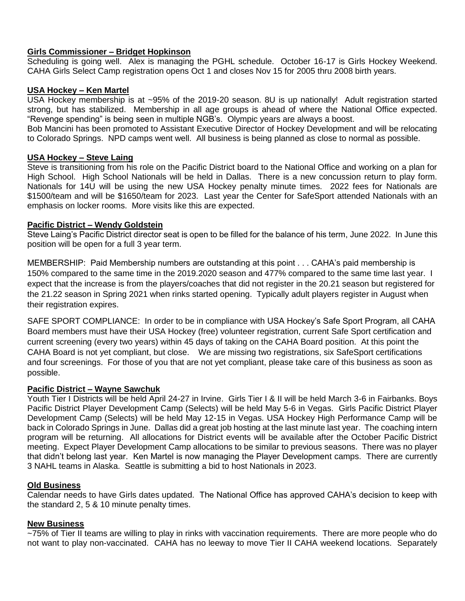# **Girls Commissioner – Bridget Hopkinson**

Scheduling is going well. Alex is managing the PGHL schedule. October 16-17 is Girls Hockey Weekend. CAHA Girls Select Camp registration opens Oct 1 and closes Nov 15 for 2005 thru 2008 birth years.

# **USA Hockey – Ken Martel**

USA Hockey membership is at ~95% of the 2019-20 season. 8U is up nationally! Adult registration started strong, but has stabilized. Membership in all age groups is ahead of where the National Office expected. "Revenge spending" is being seen in multiple NGB's. Olympic years are always a boost.

Bob Mancini has been promoted to Assistant Executive Director of Hockey Development and will be relocating to Colorado Springs. NPD camps went well. All business is being planned as close to normal as possible.

## **USA Hockey – Steve Laing**

Steve is transitioning from his role on the Pacific District board to the National Office and working on a plan for High School. High School Nationals will be held in Dallas. There is a new concussion return to play form. Nationals for 14U will be using the new USA Hockey penalty minute times. 2022 fees for Nationals are \$1500/team and will be \$1650/team for 2023. Last year the Center for SafeSport attended Nationals with an emphasis on locker rooms. More visits like this are expected.

## **Pacific District – Wendy Goldstein**

Steve Laing's Pacific District director seat is open to be filled for the balance of his term, June 2022. In June this position will be open for a full 3 year term.

MEMBERSHIP: Paid Membership numbers are outstanding at this point . . . CAHA's paid membership is 150% compared to the same time in the 2019.2020 season and 477% compared to the same time last year. I expect that the increase is from the players/coaches that did not register in the 20.21 season but registered for the 21.22 season in Spring 2021 when rinks started opening. Typically adult players register in August when their registration expires.

SAFE SPORT COMPLIANCE: In order to be in compliance with USA Hockey's Safe Sport Program, all CAHA Board members must have their USA Hockey (free) volunteer registration, current Safe Sport certification and current screening (every two years) within 45 days of taking on the CAHA Board position. At this point the CAHA Board is not yet compliant, but close. We are missing two registrations, six SafeSport certifications and four screenings. For those of you that are not yet compliant, please take care of this business as soon as possible.

#### **Pacific District – Wayne Sawchuk**

Youth Tier I Districts will be held April 24-27 in Irvine. Girls Tier I & II will be held March 3-6 in Fairbanks. Boys Pacific District Player Development Camp (Selects) will be held May 5-6 in Vegas. Girls Pacific District Player Development Camp (Selects) will be held May 12-15 in Vegas. USA Hockey High Performance Camp will be back in Colorado Springs in June. Dallas did a great job hosting at the last minute last year. The coaching intern program will be returning. All allocations for District events will be available after the October Pacific District meeting. Expect Player Development Camp allocations to be similar to previous seasons. There was no player that didn't belong last year. Ken Martel is now managing the Player Development camps. There are currently 3 NAHL teams in Alaska. Seattle is submitting a bid to host Nationals in 2023.

# **Old Business**

Calendar needs to have Girls dates updated. The National Office has approved CAHA's decision to keep with the standard 2, 5 & 10 minute penalty times.

#### **New Business**

~75% of Tier II teams are willing to play in rinks with vaccination requirements. There are more people who do not want to play non-vaccinated. CAHA has no leeway to move Tier II CAHA weekend locations. Separately